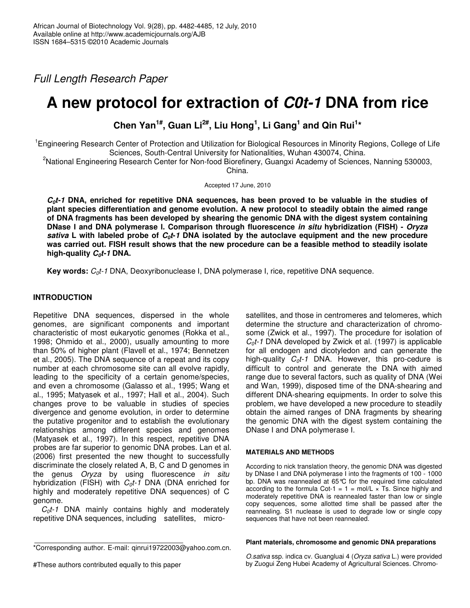*Full Length Research Paper*

# **A new protocol for extraction of** *C0t-1* **DNA from rice**

**Chen Yan 1# , Guan Li 2# , Liu Hong 1 , Li Gang 1 and Qin Rui 1 \***

<sup>1</sup>Engineering Research Center of Protection and Utilization for Biological Resources in Minority Regions, College of Life Sciences, South-Central University for Nationalities, Wuhan 430074, China.

<sup>2</sup>National Engineering Research Center for Non-food Biorefinery, Guangxi Academy of Sciences, Nanning 530003,

China.

Accepted 17 June, 2010

 $C_0t$ -1 DNA, enriched for repetitive DNA sequences, has been proved to be valuable in the studies of **plant species differentiation and genome evolution. A new protocol to steadily obtain the aimed range of DNA fragments has been developed by shearing the genomic DNA with the digest system containing DNase and DNA polymerase . Comparison through fluorescence** *in situ* **hybridization (FISH) -** *Oryza* sativa L with labeled probe of  $C_0t$ -1 DNA isolated by the autoclave equipment and the new procedure was carried out. FISH result shows that the new procedure can be a feasible method to steadily isolate **high-quality** *C0t-1* **DNA.**

**Key words:**  $C_0t$ -1 DNA, Deoxyribonuclease I, DNA polymerase I, rice, repetitive DNA sequence.

# **INTRODUCTION**

Repetitive DNA sequences, dispersed in the whole genomes, are significant components and important characteristic of most eukaryotic genomes (Rokka et al., 1998; Ohmido et al., 2000), usually amounting to more than 50% of higher plant (Flavell et al., 1974; Bennetzen et al., 2005). The DNA sequence of a repeat and its copy number at each chromosome site can all evolve rapidly, leading to the specificity of a certain genome/species, and even a chromosome (Galasso et al., 1995; Wang et al., 1995; Matyasek et al., 1997; Hall et al., 2004). Such changes prove to be valuable in studies of species divergence and genome evolution, in order to determine the putative progenitor and to establish the evolutionary relationships among different species and genomes (Matyasek et al., 1997). In this respect, repetitive DNA probes are far superior to genomic DNA probes. Lan et al. (2006) first presented the new thought to successfully discriminate the closely related A, B, C and D genomes in the genus *Oryza* by using fluorescence *in situ* hybridization (FISH) with *C0t-1* DNA (DNA enriched for highly and moderately repetitive DNA sequences) of C genome.

 $C_0t$ -1 DNA mainly contains highly and moderately repetitive DNA sequences, including satellites, micro-

satellites, and those in centromeres and telomeres, which determine the structure and characterization of chromosome (Zwick et al., 1997). The procedure for isolation of *C0t-1* DNA developed by Zwick et al. (1997) is applicable for all endogen and dicotyledon and can generate the high-quality *C0t-1* DNA. However, this pro-cedure is difficult to control and generate the DNA with aimed range due to several factors, such as quality of DNA (Wei and Wan, 1999), disposed time of the DNA-shearing and different DNA-shearing equipments. In order to solve this problem, we have developed a new procedure to steadily obtain the aimed ranges of DNA fragments by shearing the genomic DNA with the digest system containing the DNase I and DNA polymerase I.

# **MATERIALS AND METHODS**

According to nick translation theory, the genomic DNA was digested by DNase I and DNA polymerase I into the fragments of 100 - 1000 bp. DNA was reannealed at 65°C for the required time calculated according to the formula Cot-1 =  $1 = \text{mol/L} \times \text{Ts}$ . Since highly and moderately repetitive DNA is reannealed faster than low or single copy sequences, some allotted time shall be passed after the reannealing. S1 nuclease is used to degrade low or single copy sequences that have not been reannealed.

### **Plant materials, chromosome and genomic DNA preparations**

*O.sativa* ssp. indica cv. Guangluai 4 (*Oryza sativa* L.) were provided by Zuogui Zeng Hubei Academy of Agricultural Sciences*.* Chromo-

<sup>\*</sup>Corresponding author. E-mail: qinrui19722003@yahoo.com.cn.

<sup>#</sup>These authors contributed equally to this paper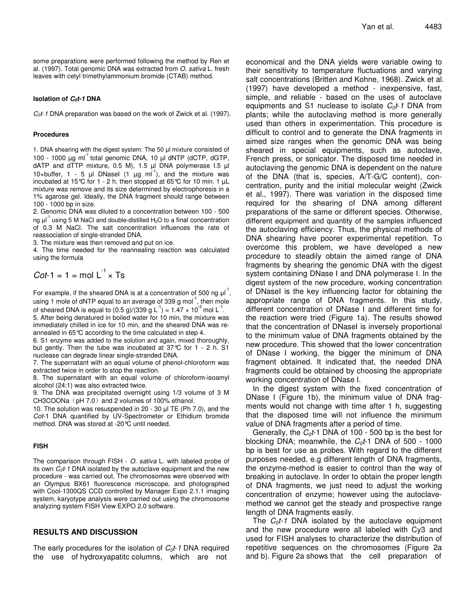some preparations were performed following the method by Ren et al. (1997). Total genomic DNA was extracted from *O. sativa* L. fresh leaves with cetyl trimethylammonium bromide (CTAB) method.

#### **Isolation of** *C0t-1* **DNA**

*C0t*-*1* DNA preparation was based on the work of Zwick et al. (1997).

#### **Procedures**

1. DNA shearing with the digest system: The 50 µl mixture consisted of 100 - 1000 μg ml<sup>-1</sup> total genomic DNA, 10 μl dNTP (dCTP, dGTP, dATP and dTTP mixture,  $0.5$  M),  $1.5$   $\mu$ l DNA polymerase  $1.5$   $\mu$ l 10×buffer, 1 - 5  $\mu$ I DNasel (1  $\mu$ g ml<sup>-1</sup>), and the mixture was incubated at 15°C for 1 - 2 h, then stopped at 65°C for 10 min. 1  $\mu$ L mixture was remove and its size determined by electrophoresis in a 1% agarose gel. Ideally, the DNA fragment should range between 100 - 1000 bp in size.

2. Genomic DNA was diluted to a concentration between 100 - 500 ng  $\mu$ l<sup>-1</sup> using 5 M NaCl and double-distilled H<sub>2</sub>O to a final concentration of 0.3 M NaCl. The salt concentration influences the rate of reassociation of single-stranded DNA.

3. The mixture was then removed and put on ice.

4. The time needed for the reannealing reaction was calculated using the formula

$$
Cot-1 = 1 = \text{mol L}^1 \times \text{Ts}
$$

For example, if the sheared DNA is at a concentration of 500 ng  $\mu$ <sup>1</sup>, using 1 mole of dNTP equal to an average of 339 g mol<sup>-1</sup>, then mole of sheared DNA is equal to (0.5 g)/(339 g L<sup>-1</sup>) = 1.47  $\times$  10<sup>-3</sup> mol L<sup>-1</sup>. 5. After being denatured in boiled water for 10 min, the mixture was

immediately chilled in ice for 10 min, and the sheared DNA was reannealed in 65°C according to the time calculated in step 4.

6. S1 enzyme was added to the solution and again, mixed thoroughly, but gently. Then the tube was incubated at 37°C for 1 - 2 h. S1 nuclease can degrade linear single-stranded DNA.

7. The supernatant with an equal volume of phenol-chloroform was extracted twice in order to stop the reaction.

8. The supernatant with an equal volume of chloroform-isoamyl alcohol (24:1) was also extracted twice.

9. The DNA was precipitated overnight using 1/3 volume of 3 M CH3COONa (pH 7.0) and 2 volumes of 100% ethanol.

10. The solution was resuspended in 20 - 30 µl TE (Ph 7.0), and the *Cot*-1 DNA quantified by UV-Spectrometer or Ethidium bromide method. DNA was stored at -20°C until needed.

#### **FISH**

The comparison through FISH - *O. sativa* L. with labeled probe of its own *C0t*-*1* DNA isolated by the autoclave equipment and the new procedure - was carried out. The chromosomes were observed with an Olympus BX61 fluorescence microscope, and photographed with Cool-1300QS CCD controlled by Manager Expo 2.1.1 imaging system, karyotype analysis were carried out using the chromosome analyzing system FISH View EXPO 2.0 software.

#### **RESULTS AND DISCUSSION**

The early procedures for the isolation of *C0t*-*1* DNA required the use of hydroxyapatitc columns, which are not

economical and the DNA yields were variable owing to their sensitivity to temperature fluctuations and varying salt concentrations (Britten and Kohne, 1968). Zwick et al. (1997) have developed a method - inexpensive, fast, simple, and reliable - based on the uses of autoclave equipments and S1 nuclease to isolate *C0t*-*1* DNA from plants; while the autoclaving method is more generally used than others in experimentation. This procedure is difficult to control and to generate the DNA fragments in aimed size ranges when the genomic DNA was being sheared in special equipments, such as autoclave, French press, or sonicator. The disposed time needed in autoclaving the genomic DNA is dependent on the nature of the DNA (that is, species, A/T-G/C content), concentration, purity and the initial molecular weight (Zwick et al., 1997). There was variation in the disposed time required for the shearing of DNA among different preparations of the same or different species. Otherwise, different equipment and quantity of the samples influenced the autoclaving efficiency. Thus, the physical methods of DNA shearing have poorer experimental repetition. To overcome this problem, we have developed a new procedure to steadily obtain the aimed range of DNA fragments by shearing the genomic DNA with the digest system containing DNase I and DNA polymerase I. In the digest system of the new procedure, working concentration of DNasel is the key influencing factor for obtaining the appropriate range of DNA fragments. In this study, different concentration of DNase I and different time for the reaction were tried (Figure 1a). The results showed that the concentration of DNasel is inversely proportional to the minimum value of DNA fragments obtained by the new procedure. This showed that the lower concentration of DNase I working, the bigger the minimum of DNA fragment obtained. It indicated that, the needed DNA fragments could be obtained by choosing the appropriate working concentration of DNase I.

In the digest system with the fixed concentration of DNase I (Figure 1b), the minimum value of DNA fragments would not change with time after 1 h, suggesting that the disposed time will not influence the minimum value of DNA fragments after a period of time.

Generally, the *C0t*-1 DNA of 100 - 500 bp is the best for blocking DNA; meanwhile, the *C0t*-1 DNA of 500 - 1000 bp is best for use as probes. With regard to the different purposes needed, e.g different length of DNA fragments, the enzyme-method is easier to control than the way of breaking in autoclave. In order to obtain the proper length of DNA fragments, we just need to adjust the working concentration of enzyme; however using the autoclavemethod we cannot get the steady and prospective range length of DNA fragments easily.

The *C0t-1* DNA isolated by the autoclave equipment and the new procedure were all labeled with Cy3 and used for FISH analyses to characterize the distribution of repetitive sequences on the chromosomes (Figure 2a and b). Figure 2a shows that the cell preparation of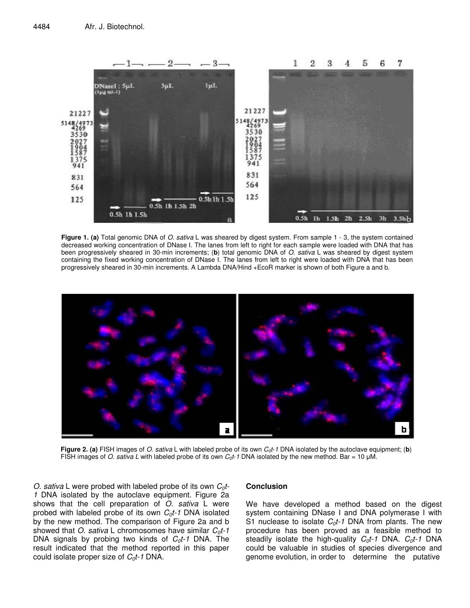

**Figure 1. (a)** Total genomic DNA of *O. sativa* L was sheared by digest system. From sample 1 - 3, the system contained decreased working concentration of DNase I. The lanes from left to right for each sample were loaded with DNA that has been progressively sheared in 30-min increments; (**b**) total genomic DNA of *O. sativa* L was sheared by digest system containing the fixed working concentration of DNase I. The lanes from left to right were loaded with DNA that has been progressively sheared in 30-min increments. A Lambda DNA/Hind +EcoR marker is shown of both Figure a and b.



**Figure 2. (a)** FISH images of *O. sativa* L with labeled probe of its own *C0t*-*1* DNA isolated by the autoclave equipment; (**b**) FISH images of *O. sativa L* with labeled probe of its own  $C_0t$ -1 DNA isolated by the new method. Bar = 10 µM.

*O. sativa* L were probed with labeled probe of its own *C0t-1* DNA isolated by the autoclave equipment. Figure 2a shows that the cell preparation of *O. sativa* L were probed with labeled probe of its own  $C_0t$ -1 DNA isolated by the new method. The comparison of Figure 2a and b showed that *O. sativa* L chromosomes have similar *C0t-1* DNA signals by probing two kinds of *C0t-1* DNA. The result indicated that the method reported in this paper could isolate proper size of *C0t-1* DNA.

## **Conclusion**

We have developed a method based on the digest system containing DNase I and DNA polymerase I with S1 nuclease to isolate *C0t-1* DNA from plants. The new procedure has been proved as a feasible method to steadily isolate the high-quality *C0t-1* DNA. *C0t-1* DNA could be valuable in studies of species divergence and genome evolution, in order to determine the putative